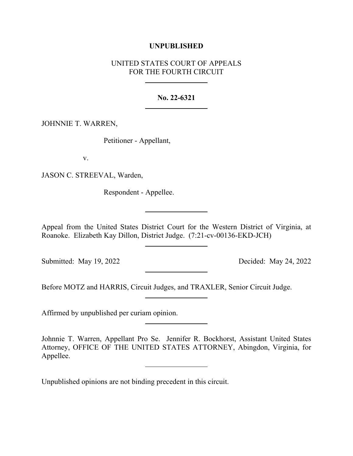## **UNPUBLISHED**

# UNITED STATES COURT OF APPEALS FOR THE FOURTH CIRCUIT

### **No. 22-6321**

## JOHNNIE T. WARREN,

Petitioner - Appellant,

v.

JASON C. STREEVAL, Warden,

Respondent - Appellee.

Appeal from the United States District Court for the Western District of Virginia, at Roanoke. Elizabeth Kay Dillon, District Judge. (7:21-cv-00136-EKD-JCH)

Submitted: May 19, 2022 Decided: May 24, 2022

Before MOTZ and HARRIS, Circuit Judges, and TRAXLER, Senior Circuit Judge.

Affirmed by unpublished per curiam opinion.

Johnnie T. Warren, Appellant Pro Se. Jennifer R. Bockhorst, Assistant United States Attorney, OFFICE OF THE UNITED STATES ATTORNEY, Abingdon, Virginia, for Appellee.

Unpublished opinions are not binding precedent in this circuit.